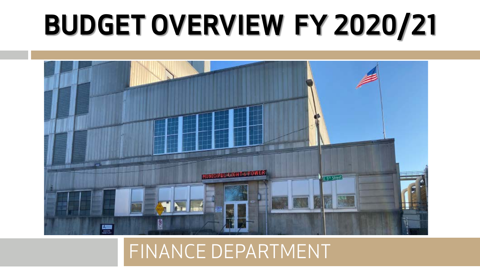## **BUDGET OVERVIEW FY 2020/21**



#### FINANCE DEPARTMENT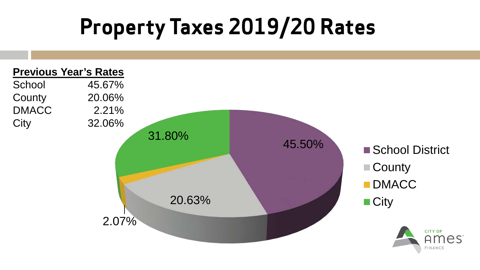#### **Property Taxes 2019/20 Rates**

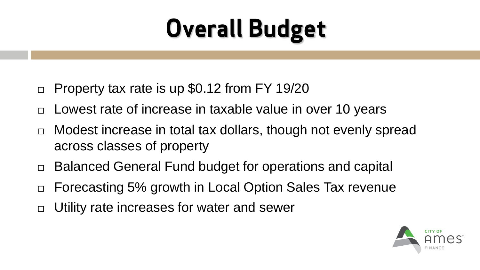#### **Overall Budget**

- $\Box$  Property tax rate is up \$0.12 from FY 19/20
- $\Box$  Lowest rate of increase in taxable value in over 10 years
- $\Box$  Modest increase in total tax dollars, though not evenly spread across classes of property
- □ Balanced General Fund budget for operations and capital
- □ Forecasting 5% growth in Local Option Sales Tax revenue
- □ Utility rate increases for water and sewer

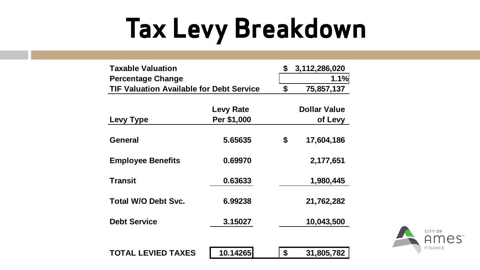## **Tax Levy Breakdown**

| <b>Taxable Valuation</b>                        |                  | \$<br>3,112,286,020 |
|-------------------------------------------------|------------------|---------------------|
| <b>Percentage Change</b>                        |                  | 1.1%                |
| <b>TIF Valuation Available for Debt Service</b> | \$<br>75,857,137 |                     |
|                                                 |                  |                     |
|                                                 | <b>Levy Rate</b> | <b>Dollar Value</b> |
| Levy Type                                       | Per \$1,000      | of Levy             |
|                                                 |                  |                     |
| General                                         | 5.65635          | \$<br>17,604,186    |
|                                                 |                  |                     |
| <b>Employee Benefits</b>                        | 0.69970          | 2,177,651           |
|                                                 |                  |                     |
| <b>Transit</b>                                  | 0.63633          | 1,980,445           |
|                                                 |                  |                     |
| <b>Total W/O Debt Svc.</b>                      | 6.99238          | 21,762,282          |
|                                                 |                  |                     |
| <b>Debt Service</b>                             | 3.15027          | 10,043,500          |
|                                                 |                  |                     |
|                                                 |                  |                     |
| <b>TOTAL LEVIED TAXES</b>                       | 10.14265         | \$<br>31,805,782    |

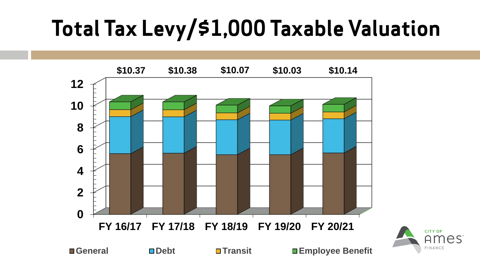#### **Total Tax Levy/\$1,000 Taxable Valuation**



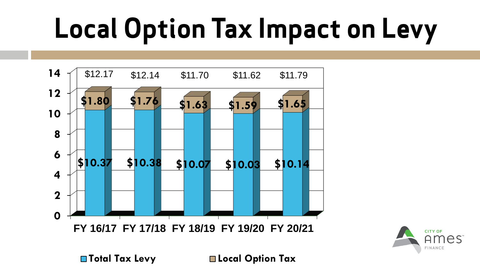# **Local Option Tax Impact on Levy**





**Total Tax Levy Local Option Tax**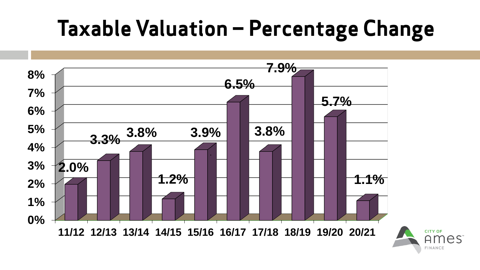#### **Taxable Valuation – Percentage Change**

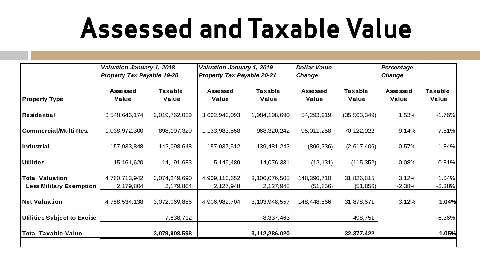#### **Assessed and Taxable Value**

|                                                          | Valuation January 1, 2018<br>Property Tax Payable 19-20 |                            | Valuation January 1, 2019<br><b>Property Tax Payable 20-21</b> |                            | <b>Dollar Value</b><br><b>Change</b> |                         | Percentage<br>Change |                   |
|----------------------------------------------------------|---------------------------------------------------------|----------------------------|----------------------------------------------------------------|----------------------------|--------------------------------------|-------------------------|----------------------|-------------------|
| <b>Property Type</b>                                     | Assessed<br>Value                                       | <b>Taxable</b><br>Value    | Assessed<br>Value                                              | <b>Taxable</b><br>Value    | Assessed<br>Value                    | <b>Taxable</b><br>Value | Assessed<br>Value    | Taxable<br>Value  |
| <b>Residential</b>                                       | 3,548,646,174                                           | 2,019,762,039              | 3,602,940,093                                                  | 1,984,198,690              | 54,293,919                           | (35, 563, 349)          | 1.53%                | $-1.76%$          |
| <b>ICommercial/Multi Res.</b>                            | 1,038,972,300                                           | 898, 197, 320              | 1,133,983,558                                                  | 968,320,242                | 95,011,258                           | 70,122,922              | 9.14%                | 7.81%             |
| <b>Industrial</b>                                        | 157,933,848                                             | 142,098,648                | 157,037,512                                                    | 139,481,242                | (896, 336)                           | (2,617,406)             | $-0.57%$             | $-1.84%$          |
| <b>Utilities</b>                                         | 15,161,620                                              | 14,191,683                 | 15,149,489                                                     | 14,076,331                 | (12, 131)                            | (115, 352)              | $-0.08%$             | $-0.81%$          |
| <b>Total Valuation</b><br><b>Less Military Exemption</b> | 4,760,713,942<br>2,179,804                              | 3,074,249,690<br>2,179,804 | 4,909,110,652<br>2,127,948                                     | 3,106,076,505<br>2,127,948 | 148,396,710<br>(51, 856)             | 31,826,815<br>(51, 856) | 3.12%<br>$-2.38%$    | 1.04%<br>$-2.38%$ |
| <b>Net Valuation</b>                                     | 4,758,534,138                                           | 3,072,069,886              | 4,906,982,704                                                  | 3,103,948,557              | 148,448,566                          | 31,878,671              | 3.12%                | 1.04%             |
| Utilities Subject to Excise                              |                                                         | 7,838,712                  |                                                                | 8,337,463                  |                                      | 498,751                 |                      | 6.36%             |
| <b>Total Taxable Value</b>                               |                                                         | 3,079,908,598              |                                                                | 3,112,286,020              |                                      | 32,377,422              |                      | 1.05%             |
|                                                          |                                                         |                            |                                                                |                            |                                      |                         |                      |                   |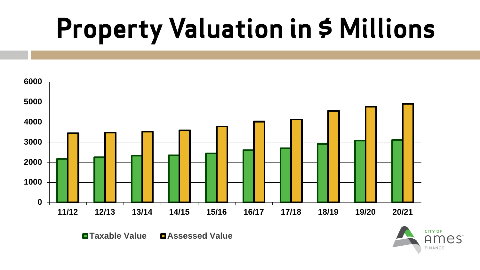### **Property Valuation in \$ Millions**



**Taxable Value DAssessed Value** 

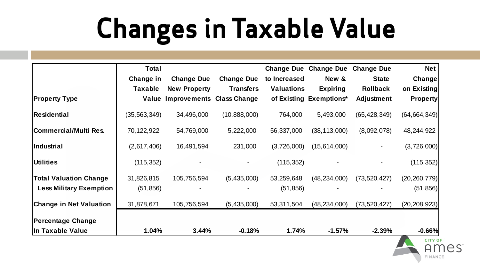## **Changes in Taxable Value**

|                                | <b>Total</b>   |                                  |                   | <b>Change Due</b> | <b>Change Due</b>       | <b>Change Due</b> | <b>Net</b>      |
|--------------------------------|----------------|----------------------------------|-------------------|-------------------|-------------------------|-------------------|-----------------|
|                                | Change in      | <b>Change Due</b>                | <b>Change Due</b> | to Increased      | New &                   | <b>State</b>      | Change          |
|                                | <b>Taxable</b> | <b>New Property</b>              | <b>Transfers</b>  | <b>Valuations</b> | <b>Expiring</b>         | <b>Rollback</b>   | on Existing     |
| <b>Property Type</b>           | Value          | <b>Improvements Class Change</b> |                   |                   | of Existing Exemptions* | <b>Adjustment</b> | <b>Property</b> |
| Residential                    | (35, 563, 349) | 34,496,000                       | (10,888,000)      | 764,000           | 5,493,000               | (65, 428, 349)    | (64, 664, 349)  |
| Commercial/Multi Res.          | 70,122,922     | 54,769,000                       | 5,222,000         | 56,337,000        | (38, 113, 000)          | (8,092,078)       | 48,244,922      |
| lIndustrial                    | (2,617,406)    | 16,491,594                       | 231,000           | (3,726,000)       | (15,614,000)            |                   | (3,726,000)     |
| <b>Utilities</b>               | (115, 352)     |                                  |                   | (115, 352)        |                         |                   | (115, 352)      |
| <b>Total Valuation Change</b>  | 31,826,815     | 105,756,594                      | (5,435,000)       | 53,259,648        | (48, 234, 000)          | (73, 520, 427)    | (20, 260, 779)  |
| <b>Less Military Exemption</b> | (51, 856)      |                                  |                   | (51, 856)         |                         |                   | (51, 856)       |
| <b>Change in Net Valuation</b> | 31,878,671     | 105,756,594                      | (5,435,000)       | 53,311,504        | (48, 234, 000)          | (73, 520, 427)    | (20, 208, 923)  |
| Percentage Change              |                |                                  |                   |                   |                         |                   |                 |
| In Taxable Value               | 1.04%          | 3.44%                            | $-0.18%$          | 1.74%             | $-1.57%$                | $-2.39%$          | $-0.66%$        |

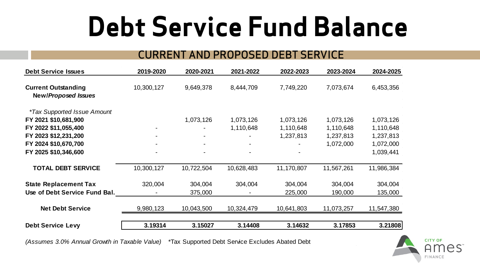#### **Debt Service Fund Balance**

#### CURRENT AND PROPOSED DEBT SERVICE

| <b>Debt Service Issues</b>                               | 2019-2020  | 2020-2021  | 2021-2022  | 2022-2023  | 2023-2024  | 2024-2025  |
|----------------------------------------------------------|------------|------------|------------|------------|------------|------------|
| <b>Current Outstanding</b><br><b>New/Proposed Issues</b> | 10,300,127 | 9,649,378  | 8,444,709  | 7,749,220  | 7,073,674  | 6,453,356  |
| <i>*Tax Supported Issue Amount</i>                       |            |            |            |            |            |            |
| FY 2021 \$10,681,900                                     |            | 1,073,126  | 1,073,126  | 1,073,126  | 1,073,126  | 1,073,126  |
| FY 2022 \$11,055,400                                     |            |            | 1,110,648  | 1,110,648  | 1,110,648  | 1,110,648  |
| FY 2023 \$12,231,200                                     |            |            |            | 1,237,813  | 1,237,813  | 1,237,813  |
| FY 2024 \$10,670,700                                     |            |            |            |            | 1,072,000  | 1,072,000  |
| FY 2025 \$10,346,600                                     |            |            |            |            |            | 1,039,441  |
| <b>TOTAL DEBT SERVICE</b>                                | 10,300,127 | 10,722,504 | 10,628,483 | 11,170,807 | 11,567,261 | 11,986,384 |
| <b>State Replacement Tax</b>                             | 320,004    | 304,004    | 304,004    | 304,004    | 304,004    | 304,004    |
| Use of Debt Service Fund Bal.                            |            | 375,000    |            | 225,000    | 190,000    | 135,000    |
| <b>Net Debt Service</b>                                  | 9,980,123  | 10,043,500 | 10,324,479 | 10,641,803 | 11,073,257 | 11,547,380 |
| <b>Debt Service Levy</b>                                 | 3.19314    | 3.15027    | 3.14408    | 3.14632    | 3.17853    | 3.21808    |

*(Assumes 3.0% Annual Growth in Taxable Value)* \*Tax Supported Debt Service Excludes Abated Debt

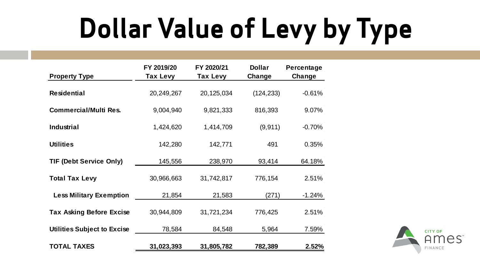## **Dollar Value of Levy by Type**

| <b>Property Type</b>               | FY 2019/20<br><b>Tax Levy</b> | FY 2020/21<br>Tax Levy | <b>Dollar</b><br>Change | Percentage<br>Change |
|------------------------------------|-------------------------------|------------------------|-------------------------|----------------------|
| <b>Residential</b>                 | 20,249,267                    | 20,125,034             | (124, 233)              | $-0.61%$             |
| <b>Commercial/Multi Res.</b>       | 9,004,940                     | 9,821,333              | 816,393                 | 9.07%                |
| <b>Industrial</b>                  | 1,424,620                     | 1,414,709              | (9, 911)                | $-0.70%$             |
| <b>Utilities</b>                   | 142,280                       | 142,771                | 491                     | 0.35%                |
| <b>TIF (Debt Service Only)</b>     | 145,556                       | 238,970                | 93,414                  | 64.18%               |
| <b>Total Tax Levy</b>              | 30,966,663                    | 31,742,817             | 776,154                 | 2.51%                |
| <b>Less Military Exemption</b>     | 21,854                        | 21,583                 | (271)                   | $-1.24%$             |
| <b>Tax Asking Before Excise</b>    | 30,944,809                    | 31,721,234             | 776,425                 | 2.51%                |
| <b>Utilities Subject to Excise</b> | 78,584                        | 84,548                 | 5,964                   | 7.59%                |
| <b>TOTAL TAXES</b>                 | 31,023,393                    | 31,805,782             | 782,389                 | 2.52%                |

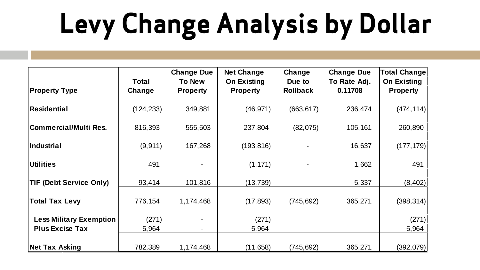# **Levy Change Analysis by Dollar**

|                                |            | <b>Change Due</b>        | <b>Net Change</b> | Change          | <b>Change Due</b> | Total Change    |
|--------------------------------|------------|--------------------------|-------------------|-----------------|-------------------|-----------------|
|                                | Total      | To New                   | On Existing       | Due to          | To Rate Adj.      | On Existing     |
| <b>Property Type</b>           | Change     | <b>Property</b>          | <b>Property</b>   | <b>Rollback</b> | 0.11708           | <b>Property</b> |
|                                |            |                          |                   |                 |                   |                 |
| Residential                    | (124, 233) | 349,881                  | (46, 971)         | (663, 617)      | 236,474           | (474, 114)      |
|                                |            |                          |                   |                 |                   |                 |
| Commercial/Multi Res.          | 816,393    | 555,503                  | 237,804           | (82,075)        | 105,161           | 260,890         |
|                                |            |                          |                   |                 |                   |                 |
| Industrial                     | (9, 911)   | 167,268                  | (193, 816)        |                 | 16,637            | (177, 179)      |
|                                |            |                          |                   |                 |                   |                 |
| <b>Utilities</b>               | 491        |                          | (1, 171)          |                 | 1,662             | 491             |
|                                |            |                          |                   |                 |                   |                 |
| <b>TIF (Debt Service Only)</b> | 93,414     | 101,816                  | (13, 739)         |                 | 5,337             | (8, 402)        |
|                                |            |                          |                   |                 |                   |                 |
| <b>Total Tax Levy</b>          | 776,154    | 1,174,468                | (17, 893)         | (745, 692)      | 365,271           | (398, 314)      |
|                                |            |                          |                   |                 |                   |                 |
| <b>Less Military Exemption</b> | (271)      |                          | (271)             |                 |                   | (271)           |
| <b>Plus Excise Tax</b>         | 5,964      | $\overline{\phantom{0}}$ | 5,964             |                 |                   | 5,964           |
|                                |            |                          |                   |                 |                   |                 |
| Net Tax Asking                 | 782,389    | 1,174,468                | (11, 658)         | (745, 692)      | 365,271           | (392,079)       |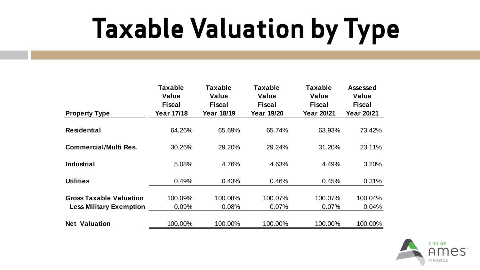### **Taxable Valuation by Type**

|                                | Taxable<br>Value  | Taxable<br>Value  | <b>Taxable</b><br>Value | Taxable<br>Value  | Assessed<br>Value |
|--------------------------------|-------------------|-------------------|-------------------------|-------------------|-------------------|
|                                | Fiscal            | <b>Fiscal</b>     | <b>Fiscal</b>           | Fiscal            | Fiscal            |
| <b>Property Type</b>           | <b>Year 17/18</b> | <b>Year 18/19</b> | <b>Year 19/20</b>       | <b>Year 20/21</b> | Year 20/21        |
| <b>Residential</b>             | 64.26%            | 65.69%            | 65.74%                  | 63.93%            | 73.42%            |
| <b>Commercial/Multi Res.</b>   | 30.26%            | 29.20%            | 29.24%                  | 31.20%            | 23.11%            |
| Industrial                     | 5.08%             | 4.76%             | 4.63%                   | 4.49%             | 3.20%             |
| <b>Utilities</b>               | 0.49%             | 0.43%             | 0.46%                   | 0.45%             | 0.31%             |
| <b>Gross Taxable Valuation</b> | 100.09%           | 100.08%           | 100.07%                 | 100.07%           | 100.04%           |
| <b>Less Military Exemption</b> | $0.09\%$          | 0.08%             | $0.07\%$                | 0.07%             | $0.04\%$          |
| <b>Net Valuation</b>           | 100.00%           | 100.00%           | 100.00%                 | 100.00%           | 100.00%           |

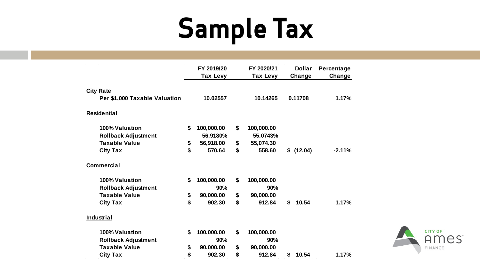### **Sample Tax**

|                               | FY 2019/20<br>Tax Levy | FY 2020/21<br>Tax Levy | <b>Dollar</b><br>Change | Percentage<br>Change |
|-------------------------------|------------------------|------------------------|-------------------------|----------------------|
| <b>City Rate</b>              |                        |                        |                         |                      |
| Per \$1,000 Taxable Valuation | 10.02557               | 10.14265               | 0.11708                 | 1.17%                |
| <b>Residential</b>            |                        |                        |                         |                      |
| 100% Valuation                | \$<br>100,000.00       | \$<br>100,000.00       |                         |                      |
| <b>Rollback Adjustment</b>    | 56.9180%               | 55.0743%               |                         |                      |
| <b>Taxable Value</b>          | \$<br>56,918.00        | \$<br>55,074.30        |                         |                      |
| <b>City Tax</b>               | \$<br>570.64           | \$<br>558.60           | \$(12.04)               | $-2.11%$             |
| <b>Commercial</b>             |                        |                        |                         |                      |
| 100% Valuation                | \$<br>100,000.00       | \$<br>100,000.00       |                         |                      |
| <b>Rollback Adjustment</b>    | 90%                    | 90%                    |                         |                      |
| <b>Taxable Value</b>          | \$<br>90,000.00        | \$<br>90,000.00        |                         |                      |
| <b>City Tax</b>               | \$<br>902.30           | \$<br>912.84           | \$<br>10.54             | 1.17%                |
| Industrial                    |                        |                        |                         |                      |
| 100% Valuation                | \$<br>100,000.00       | \$<br>100,000.00       |                         |                      |
| <b>Rollback Adjustment</b>    | 90%                    | 90%                    |                         |                      |
| <b>Taxable Value</b>          | \$<br>90,000.00        | \$<br>90,000.00        |                         |                      |
| <b>City Tax</b>               | \$<br>902.30           | \$<br>912.84           | 10.54<br>S              | 1.17%                |

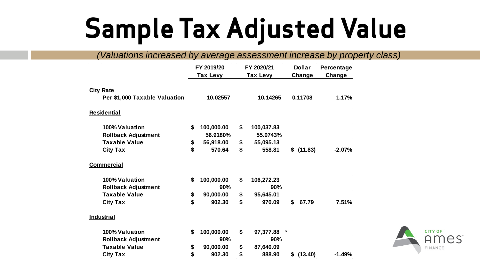#### **Sample Tax Adjusted Value**

*(Valuations increased by average assessment increase by property class)*

|                               |    | FY 2019/20<br>Tax Levy | FY 2020/21<br>Tax Levy | <b>Dollar</b><br>Change |           | Percentage<br>Change |
|-------------------------------|----|------------------------|------------------------|-------------------------|-----------|----------------------|
|                               |    |                        |                        |                         |           |                      |
| <b>City Rate</b>              |    |                        |                        |                         |           |                      |
| Per \$1,000 Taxable Valuation |    | 10.02557               | 10.14265               |                         | 0.11708   | 1.17%                |
| <b>Residential</b>            |    |                        |                        |                         |           |                      |
| 100% Valuation                | \$ | 100,000.00             | \$<br>100,037.83       |                         |           |                      |
| <b>Rollback Adjustment</b>    |    | 56.9180%               | 55.0743%               |                         |           |                      |
| <b>Taxable Value</b>          | \$ | 56,918.00              | \$<br>55,095.13        |                         |           |                      |
| <b>City Tax</b>               | \$ | 570.64                 | \$<br>558.81           |                         | \$(11.83) | $-2.07%$             |
| <b>Commercial</b>             |    |                        |                        |                         |           |                      |
| 100% Valuation                | \$ | 100,000.00             | \$<br>106,272.23       |                         |           |                      |
| <b>Rollback Adjustment</b>    |    | 90%                    | 90%                    |                         |           |                      |
| <b>Taxable Value</b>          | \$ | 90,000.00              | \$<br>95,645.01        |                         |           |                      |
| <b>City Tax</b>               | \$ | 902.30                 | \$<br>970.09           | \$                      | 67.79     | 7.51%                |
| Industrial                    |    |                        |                        |                         |           |                      |
| 100% Valuation                | \$ | 100,000.00             | \$<br>97,377.88        |                         |           |                      |
| <b>Rollback Adjustment</b>    |    | 90%                    | 90%                    |                         |           |                      |
| <b>Taxable Value</b>          | \$ | 90,000.00              | \$<br>87,640.09        |                         |           |                      |
| <b>City Tax</b>               | \$ | 902.30                 | \$<br>888.90           |                         | \$(13.40) | $-1.49%$             |

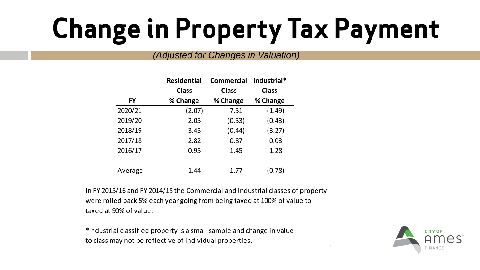### **Change in Property Tax Payment**

#### *(Adjusted for Changes in Valuation)*

|         | <b>Residential</b> | Commercial   |              |  |
|---------|--------------------|--------------|--------------|--|
|         | <b>Class</b>       | <b>Class</b> | <b>Class</b> |  |
| FY      | % Change           | % Change     | % Change     |  |
| 2020/21 | (2.07)             | 7.51         | (1.49)       |  |
| 2019/20 | 2.05               | (0.53)       | (0.43)       |  |
| 2018/19 | 3.45               | (0.44)       | (3.27)       |  |
| 2017/18 | 2.82               | 0.87         | 0.03         |  |
| 2016/17 | 0.95               | 1.45         | 1.28         |  |
| Average | 1.44               | 1.77         | (0.78)       |  |

In FY 2015/16 and FY 2014/15 the Commercial and Industrial classes of property were rolled back 5% each year going from being taxed at 100% of value to taxed at 90% of value.

\*Industrial classified property is a small sample and change in value to class may not be reflective of individual properties.

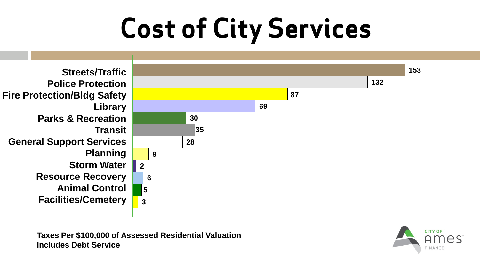## **Cost of City Services**



**Taxes Per \$100,000 of Assessed Residential Valuation Includes Debt Service**

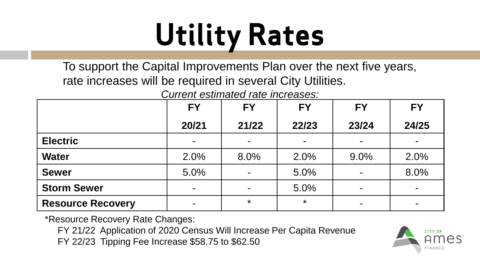# **Utility Rates**

To support the Capital Improvements Plan over the next five years, rate increases will be required in several City Utilities.

*Current estimated rate increases:*

|                          | <b>FY</b>      | <b>FY</b> | <b>FY</b>      | <b>FY</b>                | <b>FY</b> |
|--------------------------|----------------|-----------|----------------|--------------------------|-----------|
|                          | 20/21          | 21/22     | 22/23          | 23/24                    | 24/25     |
| <b>Electric</b>          | ۰              | -         | $\blacksquare$ | $\blacksquare$           |           |
| <b>Water</b>             | 2.0%           | 8.0%      | 2.0%           | 9.0%                     | 2.0%      |
| <b>Sewer</b>             | 5.0%           |           | 5.0%           | $\blacksquare$           | 8.0%      |
| <b>Storm Sewer</b>       | $\blacksquare$ |           | 5.0%           | $\sim$                   |           |
| <b>Resource Recovery</b> |                | $\star$   | $\star$        | $\overline{\phantom{0}}$ |           |

\*Resource Recovery Rate Changes:

FY 21/22 Application of 2020 Census Will Increase Per Capita Revenue

FY 22/23 Tipping Fee Increase \$58.75 to \$62.50

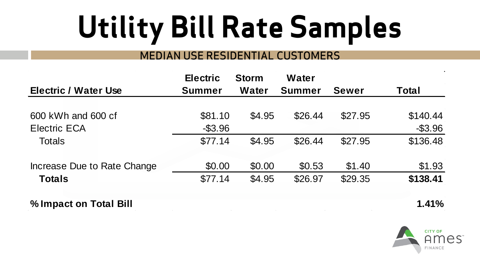# **Utility Bill Rate Samples**

#### MEDIAN USE RESIDENTIAL CUSTOMERS

|                             | <b>Electric</b> | <b>Storm</b> | Water         |              |            |
|-----------------------------|-----------------|--------------|---------------|--------------|------------|
| <b>Electric / Water Use</b> | <b>Summer</b>   | Water        | <b>Summer</b> | <b>Sewer</b> | Total      |
|                             |                 |              |               |              |            |
| 600 kWh and 600 cf          | \$81.10         | \$4.95       | \$26.44       | \$27.95      | \$140.44   |
| <b>Electric ECA</b>         | $-$ \$3.96      |              |               |              | $-$ \$3.96 |
| <b>Totals</b>               | \$77.14         | \$4.95       | \$26.44       | \$27.95      | \$136.48   |
| Increase Due to Rate Change | \$0.00          | \$0.00       | \$0.53        | \$1.40       | \$1.93     |
| <b>Totals</b>               | \$77.14         | \$4.95       | \$26.97       | \$29.35      | \$138.41   |

**% Impact on Total Bill 1.41%**